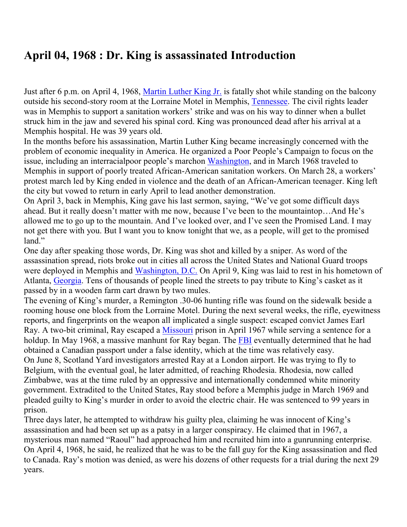## **April 04, 1968 : Dr. King is assassinated Introduction**

Just after 6 p.m. on April 4, 1968, [Martin](https://www.history.com/topics/black-history/martin-luther-king-jr) Luther King Jr. is fatally shot while standing on the balcony outside his second-story room at the Lorraine Motel in Memphis, [Tennessee.](https://www.history.com/topics/us-states/tennessee) The civil rights leader was in Memphis to support a sanitation workers' strike and was on his way to dinner when a bullet struck him in the jaw and severed his spinal cord. King was pronounced dead after his arrival at a Memphis hospital. He was 39 years old.

In the months before his assassination, Martin Luther King became increasingly concerned with the problem of economic inequality in America. He organized a Poor People's Campaign to focus on the issue, including an interracialpoor people's marchon [Washington,](https://www.history.com/topics/us-states/washington) and in March 1968 traveled to Memphis in support of poorly treated African-American sanitation workers. On March 28, a workers' protest march led by King ended in violence and the death of an African-American teenager. King left the city but vowed to return in early April to lead another demonstration.

On April 3, back in Memphis, King gave his last sermon, saying, "We've got some difficult days ahead. But it really doesn't matter with me now, because I've been to the mountaintop…And He's allowed me to go up to the mountain. And I've looked over, and I've seen the Promised Land. I may not get there with you. But I want you to know tonight that we, as a people, will get to the promised land."

One day after speaking those words, Dr. King was shot and killed by a sniper. As word of the assassination spread, riots broke out in cities all across the United States and National Guard troops were deployed in Memphis and [Washington,](https://www.history.com/topics/us-states/washington-dc) D.C. On April 9, King was laid to rest in his hometown of Atlanta, [Georgia.](https://www.history.com/topics/us-states/georgia) Tens of thousands of people lined the streets to pay tribute to King's casket as it passed by in a wooden farm cart drawn by two mules.

The evening of King's murder, a Remington .30-06 hunting rifle was found on the sidewalk beside a rooming house one block from the Lorraine Motel. During the next several weeks, the rifle, eyewitness reports, and fingerprints on the weapon all implicated a single suspect: escaped convict James Earl Ray. A two-bit criminal, Ray escaped a [Missouri](https://www.history.com/topics/us-states/missouri) prison in April 1967 while serving a sentence for a holdup. In May 1968, a massive manhunt for Ray began. The [FBI](https://www.history.com/topics/fbi) eventually determined that he had obtained a Canadian passport under a false identity, which at the time was relatively easy. On June 8, Scotland Yard investigators arrested Ray at a London airport. He was trying to fly to Belgium, with the eventual goal, he later admitted, of reaching Rhodesia. Rhodesia, now called Zimbabwe, was at the time ruled by an oppressive and internationally condemned white minority government. Extradited to the United States, Ray stood before a Memphis judge in March 1969 and pleaded guilty to King's murder in order to avoid the electric chair. He was sentenced to 99 years in prison.

Three days later, he attempted to withdraw his guilty plea, claiming he was innocent of King's assassination and had been set up as a patsy in a larger conspiracy. He claimed that in 1967, a mysterious man named "Raoul" had approached him and recruited him into a gunrunning enterprise. On April 4, 1968, he said, he realized that he was to be the fall guy for the King assassination and fled to Canada. Ray's motion was denied, as were his dozens of other requests for a trial during the next 29 years.